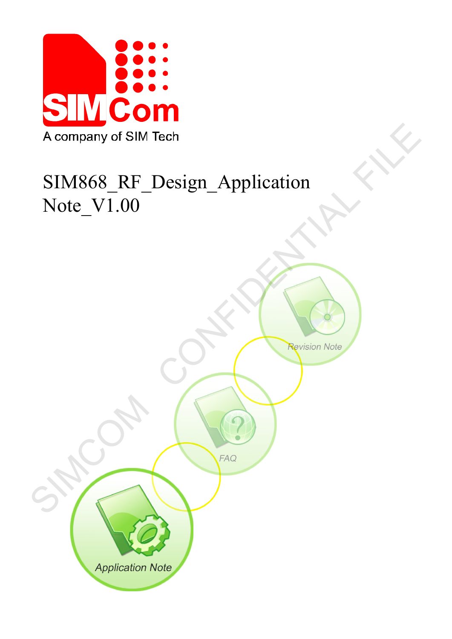

# SIM868\_RF\_Design\_Application Note\_V1.00

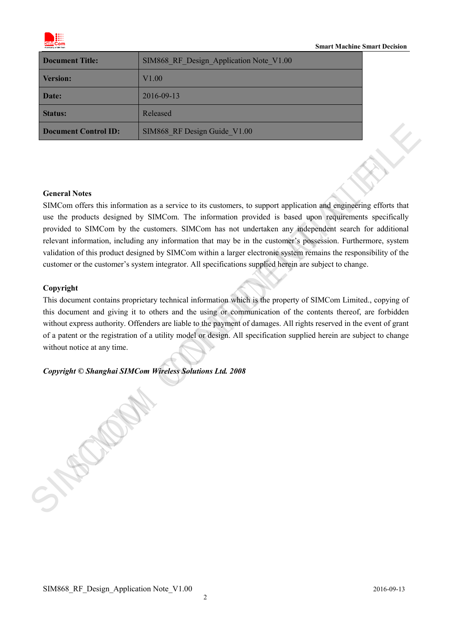

#### **Smart Machine Smart Decision**

| <b>Document Title:</b>      | SIM868 RF Design Application Note V1.00 |  |
|-----------------------------|-----------------------------------------|--|
| <b>Version:</b>             | V1.00                                   |  |
| Date:                       | 2016-09-13                              |  |
| <b>Status:</b>              | Released                                |  |
| <b>Document Control ID:</b> | SIM868 RF Design Guide V1.00            |  |

#### **General Notes**

SIMCom offers this information as a service to its customers, to support application and engineering efforts that use the products designed by SIMCom. The information provided is based upon requirements specifically provided to SIMCom by the customers. SIMCom has not undertaken any independent search for additional relevant information, including any information that may be in the customer's possession. Furthermore, system validation of this product designed by SIMCom within a larger electronic system remains the responsibility of the customer or the customer's system integrator. All specifications supplied herein are subject to change. **SIMS66\_RF** Design Guide\_V1.00<br> **Ceneral Notes**<br> **Ceneral Notes**<br>
SIMCom These information as a service to its cationners, to support application and suggedient general states<br>
such the probability distribution by the cust

#### **Copyright**

This document contains proprietary technical information which is the property of SIMCom Limited., copying of this document and giving it to others and the using or communication of the contents thereof, are forbidden without express authority. Offenders are liable to the payment of damages. All rights reserved in the event of grant of a patent or the registration of a utility model or design. All specification supplied herein are subject to change without notice at any time.

## *Copyright © Shanghai SIMCom Wireless Solutions Ltd. 2008*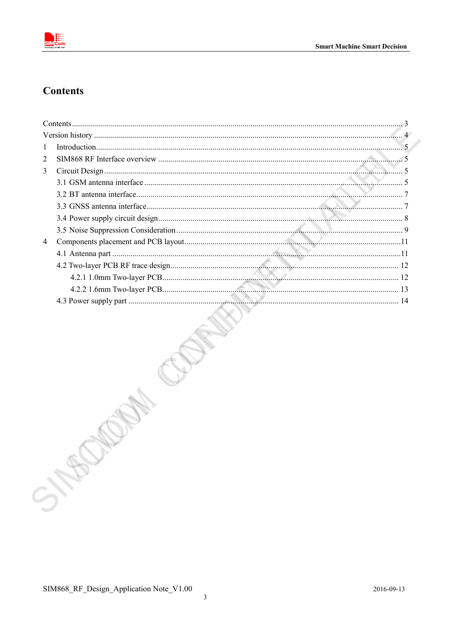

# <span id="page-2-0"></span>**Contents**

| 1 |      |  |
|---|------|--|
| 2 |      |  |
| 3 |      |  |
|   |      |  |
|   |      |  |
|   |      |  |
|   |      |  |
|   |      |  |
| 4 |      |  |
|   |      |  |
|   |      |  |
|   |      |  |
|   |      |  |
|   |      |  |
|   |      |  |
|   | SIER |  |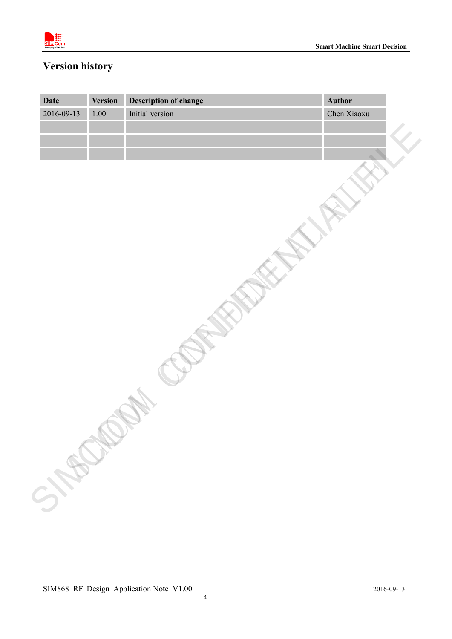

# <span id="page-3-0"></span>**Version history**

| 2016-09-13 | <b>Version</b> | <b>Description of change</b> | <b>Author</b> |
|------------|----------------|------------------------------|---------------|
|            | $1.00\,$       | Initial version              | Chen Xiaoxu   |
|            |                |                              |               |
|            |                |                              |               |
|            |                |                              |               |
|            |                |                              |               |
|            |                |                              |               |
|            |                |                              |               |
|            |                |                              |               |
|            |                |                              |               |
|            |                |                              |               |
|            |                |                              |               |
|            |                |                              |               |
|            |                |                              |               |
|            |                |                              |               |
|            |                |                              |               |
|            |                |                              |               |
|            |                |                              |               |
|            |                |                              |               |
|            |                |                              |               |
|            |                |                              |               |
|            |                |                              |               |
|            |                |                              |               |
|            |                |                              |               |
|            |                |                              |               |
|            |                |                              |               |
|            |                |                              |               |
|            |                |                              |               |
|            |                |                              |               |
|            |                |                              |               |
|            |                |                              |               |
|            |                |                              |               |
|            |                |                              |               |
| STERM      |                |                              |               |
|            |                |                              |               |
|            |                |                              |               |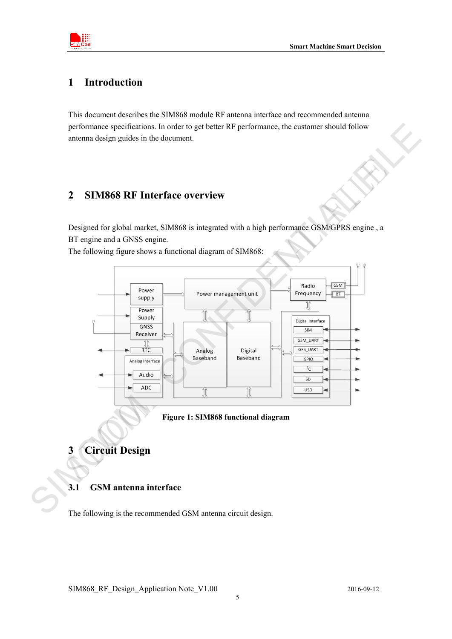

## <span id="page-4-0"></span>**1 Introduction**

This document describes the SIM868 module RF antenna interface and recommended antenna performance specifications. In order to get better RF performance, the customer should follow antenna design guides in the document.

## <span id="page-4-1"></span>**2 SIM868 RF Interface overview**

Designed for global market, SIM868 is integrated with a high performance GSM/GPRS engine , a BT engine and a GNSS engine.

The following figure shows a functional diagram of SIM868:



**Figure 1: SIM868 functional diagram**

- <span id="page-4-2"></span>**3 Circuit Design**
- <span id="page-4-3"></span>**3.1 GSM antenna interface**

The following is the recommended GSM antenna circuit design.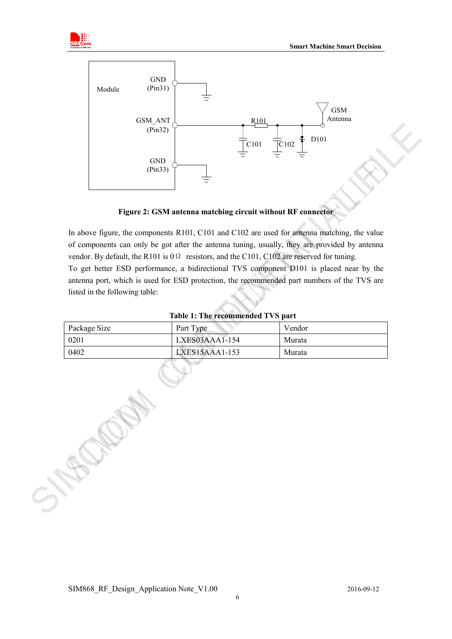



**Figure 2: GSM antenna matching circuit without RF connector**

In above figure, the components R101, C101 and C102 are used for antenna matching, the value of components can only be got after the antenna tuning, usually, they are provided by antenna vendor. By default, the R101 is 0Ω resistors, and the C101, C102 are reserved for tuning. To get better ESD performance, a bidirectional TVS component D101 is placed near by the antenna port, which is used for ESD protection, the recommended part numbers of the TVS are listed in the following table: (Paris)<br>
(Paris)<br>
(Paris)<br>
(Paris)<br>
(Paris)<br>
(Paris)<br>
(Paris)<br>
Tigure 2: GSM antenna matching circuit without RF connection<br>
In above figure is components can only be got after the meters tange usually, they are provided

| <b>Table 1: The recommended TVS part</b> |  |
|------------------------------------------|--|
|------------------------------------------|--|

| Package Size | Part Type      | Vendor |
|--------------|----------------|--------|
| 0201         | LXES03AAA1-154 | Murata |
| 0402         | LXES15AAA1-153 | Murata |

| SIM868 RF Design Application Note V1.00 | 2016-09-12 |
|-----------------------------------------|------------|
|                                         |            |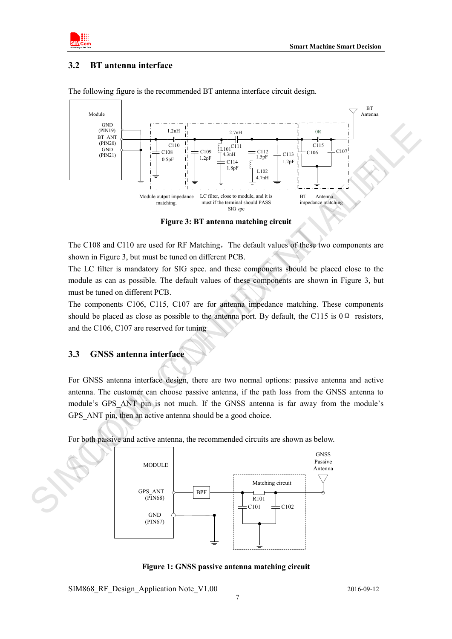

## <span id="page-6-0"></span>**3.2 BT antenna interface**



The following figure is the recommended BT antenna interface circuit design.

**Figure 3: BT antenna matching circuit**

The C108 and C110 are used for RF Matching, The default values of these two components are shown in Figure 3, but must be tuned on different PCB.

The LC filter is mandatory for SIG spec. and these components should be placed close to the module as can as possible. The default values of these components are shown in Figure 3, but must be tuned on different PCB.

The components C106, C115, C107 are for antenna impedance matching. These components should be placed as close as possible to the antenna port. By default, the C115 is  $0\Omega$  resistors, and the C106, C107 are reserved for tuning

## <span id="page-6-1"></span>**3.3 GNSS antenna interface**

For GNSS antenna interface design, there are two normal options: passive antenna and active antenna. The customer can choose passive antenna, if the path loss from the GNSS antenna to module's GPS\_ANT pin is not much. If the GNSS antenna is far away from the module's GPS ANT pin, then an active antenna should be a good choice.

For both passive and active antenna, the recommended circuits are shown as below.



**Figure 1: GNSS passive antenna matching circuit**

SIM868 RF Design Application Note V1.00 2016-09-12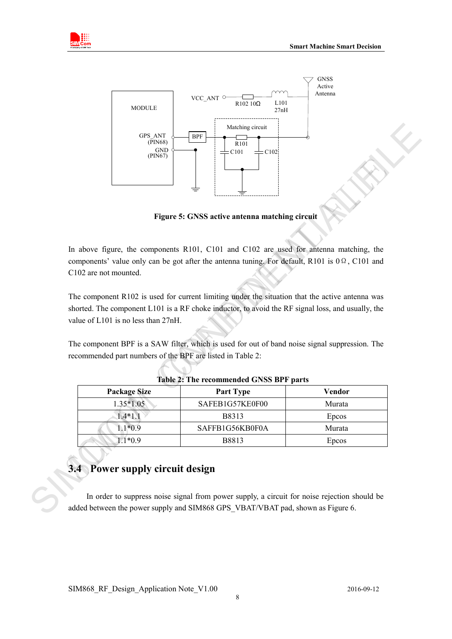



**Figure 5: GNSS active antenna matching circuit**

In above figure, the components R101, C101 and C102 are used for antenna matching, the components' value only can be got after the antenna tuning. For default, R101 is 0Ω, C101 and C102 are not mounted.

The component R102 is used for current limiting under the situation that the active antenna was shorted. The component L101 is a RF choke inductor, to avoid the RF signal loss, and usually, the value of L101 is no less than 27nH.

The component BPF is a SAW filter, which is used for out of band noise signal suppression. The recommended part numbers of the BPF are listed in Table 2:

| <b>Package Size</b>                | <b>Part Type</b>                                                                                                                                                                | <b>Vendor</b> |
|------------------------------------|---------------------------------------------------------------------------------------------------------------------------------------------------------------------------------|---------------|
| $1.35*1.05$                        | SAFEB1G57KE0F00                                                                                                                                                                 | Murata        |
| $1.4*1.1$                          | B8313                                                                                                                                                                           | Epcos         |
| $1.1*0.9$                          | SAFFB1G56KB0F0A                                                                                                                                                                 | Murata        |
| $1.1*0.9$                          | B8813                                                                                                                                                                           | Epcos         |
| Power supply circuit design<br>3.4 | In order to suppress noise signal from power supply, a circuit for noise rejection should be<br>added between the power supply and SIM868 GPS VBAT/VBAT pad, shown as Figure 6. |               |

#### **Table 2: The recommended GNSS BPF parts**

# <span id="page-7-0"></span>**3.4 Power supply circuit design**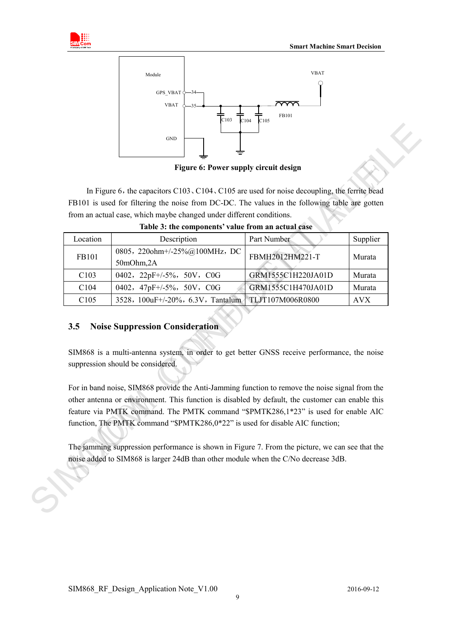



**Figure 6: Power supply circuit design**

|          | In Figure 6, the capacitors $C103$ , $C104$ , $C105$ are used for noise decoupling, the ferrite bead<br>FB101 is used for filtering the noise from DC-DC. The values in the following table are gotten<br>from an actual case, which maybe changed under different conditions.                                                                                             |                    |            |
|----------|----------------------------------------------------------------------------------------------------------------------------------------------------------------------------------------------------------------------------------------------------------------------------------------------------------------------------------------------------------------------------|--------------------|------------|
| Location | Table 3: the components' value from an actual case<br>Description                                                                                                                                                                                                                                                                                                          | Part Number        | Supplier   |
| FB101    | 0805, 220ohm+/-25%@100MHz, DC<br>50mOhm,2A                                                                                                                                                                                                                                                                                                                                 | FBMH2012HM221-T    | Murata     |
| C103     | 0402, 22pF+/-5%, 50V, C0G                                                                                                                                                                                                                                                                                                                                                  | GRM1555C1H220JA01D | Murata     |
| C104     | 0402, 47pF+/-5%, 50V, C0G                                                                                                                                                                                                                                                                                                                                                  | GRM1555C1H470JA01D | Murata     |
| C105     | 3528, 100uF+/-20%, 6.3V, Tantalum                                                                                                                                                                                                                                                                                                                                          | TLJT107M006R0800   | <b>AVX</b> |
| 3.5      | <b>Noise Suppression Consideration</b>                                                                                                                                                                                                                                                                                                                                     |                    |            |
|          | SIM868 is a multi-antenna system, in order to get better GNSS receive performance, the noise<br>suppression should be considered.                                                                                                                                                                                                                                          |                    |            |
|          | For in band noise, SIM868 provide the Anti-Jamming function to remove the noise signal from the<br>other antenna or environment. This function is disabled by default, the customer can enable this<br>feature via PMTK command. The PMTK command "\$PMTK286,1*23" is used for enable AIC<br>function, The PMTK command "\$PMTK286,0*22" is used for disable AIC function; |                    |            |

**Table 3: the components' value from an actual case** 

## <span id="page-8-0"></span>**3.5 Noise Suppression Consideration**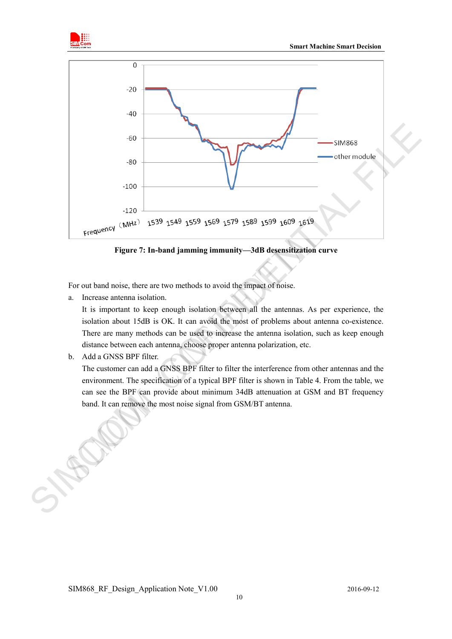



**Figure 7: In-band jamming immunity—3dB desensitization curve**

For out band noise, there are two methods to avoid the impact of noise.

a. Increase antenna isolation.

It is important to keep enough isolation between all the antennas. As per experience, the isolation about 15dB is OK. It can avoid the most of problems about antenna co-existence. There are many methods can be used to increase the antenna isolation, such as keep enough distance between each antenna, choose proper antenna polarization, etc.

b. Add a GNSS BPF filter.

The customer can add a GNSS BPF filter to filter the interference from other antennas and the environment. The specification of a typical BPF filter is shown in Table 4. From the table, we can see the BPF can provide about minimum 34dB attenuation at GSM and BT frequency band. It can remove the most noise signal from GSM/BT antenna.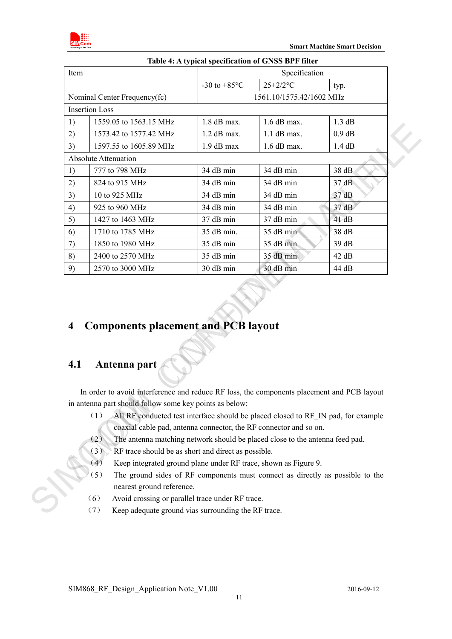

| Item |                                            |                          | Specification |          |
|------|--------------------------------------------|--------------------------|---------------|----------|
|      |                                            | -30 to $+85^{\circ}$ C   | $25+2/2$ °C   | typ.     |
|      | Nominal Center Frequency(fc)               | 1561.10/1575.42/1602 MHz |               |          |
|      | <b>Insertion Loss</b>                      |                          |               |          |
| 1)   | 1559.05 to 1563.15 MHz                     | $1.8$ dB max.            | $1.6$ dB max. | 1.3 dB   |
| 2)   | 1573.42 to 1577.42 MHz                     | $1.2$ dB max.            | $1.1$ dB max. | $0.9$ dB |
| 3)   | 1597.55 to 1605.89 MHz                     | 1.9 dB max               | 1.6 dB max.   | 1.4 dB   |
|      | <b>Absolute Attenuation</b>                |                          |               |          |
| 1)   | 777 to 798 MHz                             | 34 dB min                | 34 dB min     | 38 dB    |
| 2)   | 824 to 915 MHz                             | 34 dB min                | 34 dB min     | 37 dB    |
| 3)   | 10 to 925 MHz                              | 34 dB min                | 34 dB min     | 37 dB    |
| 4)   | 925 to 960 MHz                             | 34 dB min                | 34 dB min     | 37 dB    |
| 5)   | 1427 to 1463 MHz                           | 37 dB min                | 37 dB min     | 41dB     |
| 6)   | 1710 to 1785 MHz                           | 35 dB min.               | 35 dB min     | 38 dB    |
| 7)   | 1850 to 1980 MHz                           | 35 dB min                | 35 dB min     | 39 dB    |
| 8)   | 2400 to 2570 MHz                           | 35 dB min                | 35 dB min     | 42 dB    |
| 9)   | 2570 to 3000 MHz                           | 30 dB min                | 30 dB min     | 44 dB    |
| 4    | <b>Components placement and PCB layout</b> |                          |               |          |
| 4.1  | Antenna part                               |                          |               |          |

# <span id="page-10-0"></span>**4 Components placement and PCB layout**

# <span id="page-10-1"></span>**4.1 Antenna part**

In order to avoid interference and reduce RF loss, the components placement and PCB layout in antenna part should follow some key points as below:

- (1) All RF conducted test interface should be placed closed to RF\_IN pad, for example coaxial cable pad, antenna connector, the RF connector and so on. in antenna part should follow<br>
(1) All RF conduc<br>
coaxial cable p<br>
(2) The antenna m<br>
(3) RF trace should<br>
(4) Keep integrate<br>
(5) The ground sine nearest ground<br>
(6) Avoid crossing<br>
(7) Keep adequate
	- (2) The antenna matching network should be placed close to the antenna feed pad.
	- (3) RF trace should be as short and direct as possible.
	- (4) Keep integrated ground plane under RF trace, shown as Figure 9.
	- (5) The ground sides of RF components must connect as directly as possible to the nearest ground reference.
	- (6) Avoid crossing or parallel trace under RF trace.
	- (7) Keep adequate ground vias surrounding the RF trace.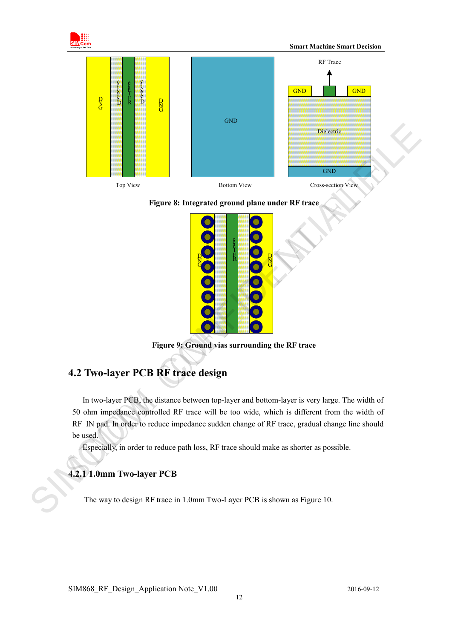

#### **Figure 8: Integrated ground plane under RF trace**



**Figure 9: Ground vias surrounding the RF trace**

# <span id="page-11-0"></span>**4.2 Two-layer PCB RF trace design**

In two-layer PCB, the distance between top-layer and bottom-layer is very large. The width of 50 ohm impedance controlled RF trace will be too wide, which is different from the width of RF\_IN pad. In order to reduce impedance sudden change of RF trace, gradual change line should be used.

Especially, in order to reduce path loss, RF trace should make as shorter as possible.

## <span id="page-11-1"></span>**4.2.1 1.0mm Two-layer PCB**

The way to design RF trace in 1.0mm Two-Layer PCB is shown as Figure 10.

SIM868 RF Design Application Note V1.00 2016-09-12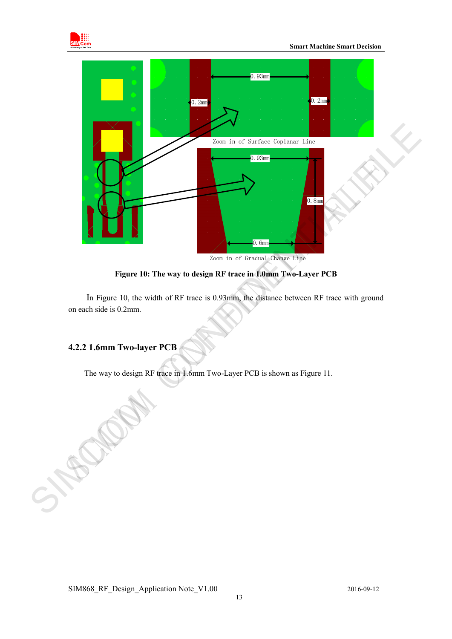



**Figure 10: The way to design RF trace in 1.0mm Two-Layer PCB**

In Figure 10, the width of RF trace is 0.93mm, the distance between RF trace with ground on each side is 0.2mm.

## <span id="page-12-0"></span>**4.2.2 1.6mm Two-layer PCB**

The way to design RF trace in 1.6mm Two-Layer PCB is shown as Figure 11.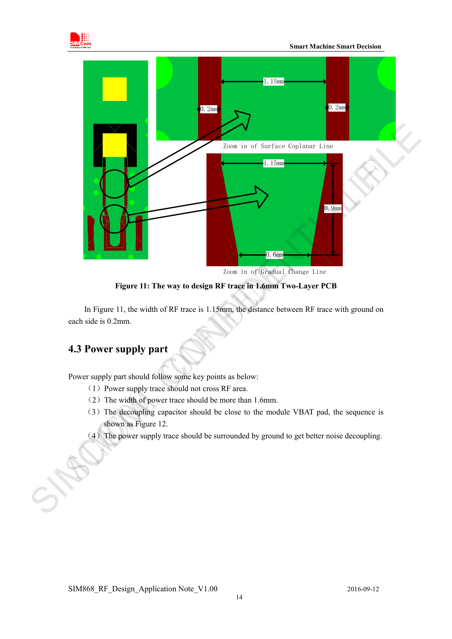

 **Smart Machine Smart Decision**



Zoom in of Gradual Change Line

**Figure 11: The way to design RF trace in 1.6mm Two-Layer PCB**

In Figure 11, the width of RF trace is 1.15mm, the distance between RF trace with ground on each side is 0.2mm.

# <span id="page-13-0"></span>**4.3 Power supply part**

Power supply part should follow some key points as below:

- (1)Power supply trace should not cross RF area.
- (2)The width of power trace should be more than 1.6mm.
- (3)The decoupling capacitor should be close to the module VBAT pad, the sequence is shown as Figure 12.
- (4)The power supply trace should be surrounded by ground to get better noise decoupling.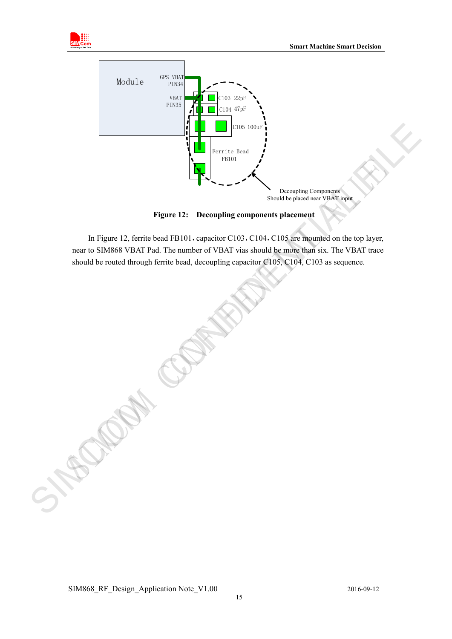



**Figure 12: Decoupling components placement**

In Figure 12, ferrite bead FB101, capacitor C103, C104, C105 are mounted on the top layer, near to SIM868 VBAT Pad. The number of VBAT vias should be more than six. The VBAT trace should be routed through ferrite bead, decoupling capacitor C105, C104, C103 as sequence.

SIM868\_RF\_Design\_Application Note\_V1.00 15 2016-09-12